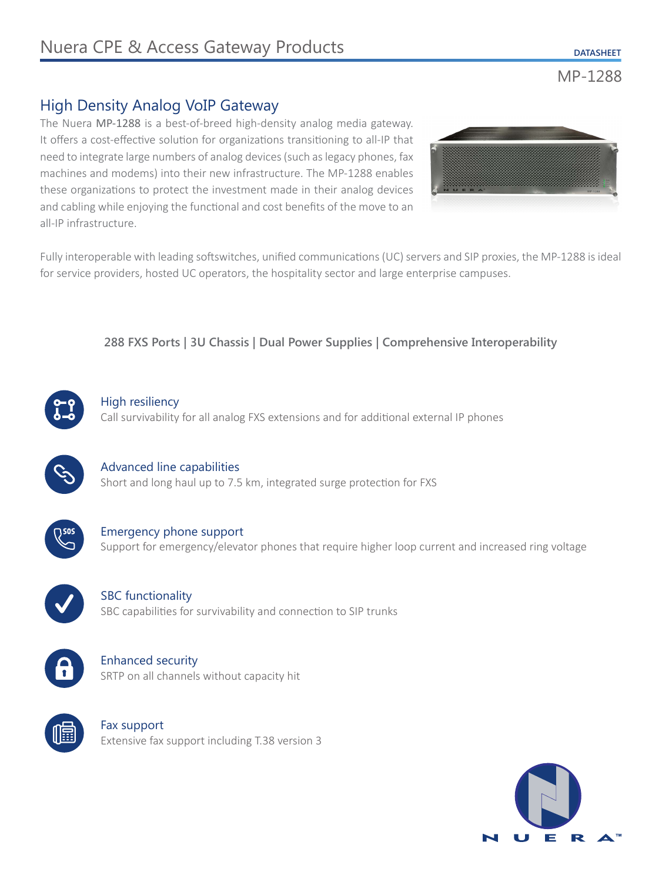MP-1288

# High Density Analog VoIP Gateway

The Nuera MP-1288 is a best-of-breed high-density analog media gateway. It offers a cost-effective solution for organizations transitioning to all-IP that need to integrate large numbers of analog devices (such as legacy phones, fax machines and modems) into their new infrastructure. The MP-1288 enables these organizations to protect the investment made in their analog devices and cabling while enjoying the functional and cost benefits of the move to an all-IP infrastructure.



Fully interoperable with leading softswitches, unified communications (UC) servers and SIP proxies, the MP-1288 is ideal for service providers, hosted UC operators, the hospitality sector and large enterprise campuses.

### **288 FXS Ports | 3U Chassis | Dual Power Supplies | Comprehensive Interoperability**



### High resiliency

Call survivability for all analog FXS extensions and for additional external IP phones



### Advanced line capabilities Short and long haul up to 7.5 km, integrated surge protection for FXS



Emergency phone support Support for emergency/elevator phones that require higher loop current and increased ring voltage

**SBC** functionality SBC capabilities for survivability and connection to SIP trunks



## Enhanced security SRTP on all channels without capacity hit



Fax support Extensive fax support including T.38 version 3